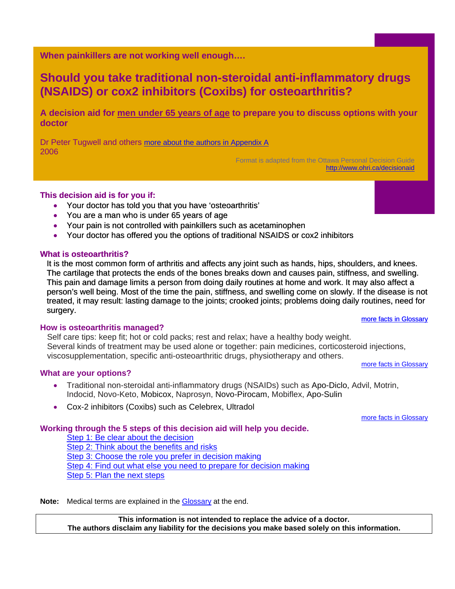<span id="page-0-0"></span>**When painkillers are not working well enough….** 

# **Should you take traditional non-steroidal anti-inflammatory drugs (NSAIDS) or cox2 inhibitors (Coxibs) for osteoarthritis?**

**A decision aid for men under 65 years of age to prepare you to discuss options with your doctor** 

Dr Peter Tugwell and others [more about the authors in Appendix A](#page-5-0) 2006

> Format is adapted from the Ottawa Personal Decision Guide <http://www.ohri.ca/decisionaid>

### **This decision aid is for you if:**

- Your doctor has told you that you have 'osteoarthritis'
- You are a man who is under 65 years of age
- Your pain is not controlled with painkillers such as acetaminophen
- Your doctor has offered you the options of traditional NSAIDS or cox2 inhibitors

### **What is osteoarthritis?**

It is the most common form of arthritis and affects any joint such as hands, hips, shoulders, and knees. The cartilage that protects the ends of the bones breaks down and causes pain, stiffness, and swelling. This pain and damage limits a person from doing daily routines at home and work. It may also affect a person's well being. Most of the time the pain, stiffness, and swelling come on slowly. If the disease is not treated, it may result: lasting damage to the joints; crooked joints; problems doing daily routines, need for surgery. [more facts in Glossary](#page-6-0)

### **How is osteoarthritis managed?**

Self care tips: keep fit; hot or cold packs; rest and relax; have a healthy body weight. Several kinds of treatment may be used alone or together: pain medicines, corticosteroid injections, viscosupplementation, specific anti-osteoarthritic drugs, physiotherapy and others. [more facts in Glossary](#page-6-0)

### **What are your options?**

- Traditional non-steroidal anti-inflammatory drugs (NSAIDs) such as Apo-Diclo, Advil, Motrin, Indocid, Novo-Keto, Mobicox, Naprosyn, Novo-Pirocam, Mobiflex, Apo-Sulin
- Cox-2 inhibitors (Coxibs) such as Celebrex, Ultradol

[more facts in Glossary](#page-6-0)

### **Working through the 5 steps of this decision aid will help you decide.**

[Step 1: Be clear about the decision](#page-1-0) [Step 2: Think about the benefits and risks](#page-2-0) Step 3: Choose [the role you prefer in decision makin](#page-4-0)g [Step 4: Find out what else you need to prepare for decision making](#page-4-0) [Step 5: Plan the next steps](#page-4-0)

Note: Medical terms are explained in the **Glossary** at the end.

**This information is not intended to replace the advice of a doctor. The authors disclaim any liability for the decisions you make based solely on this information.**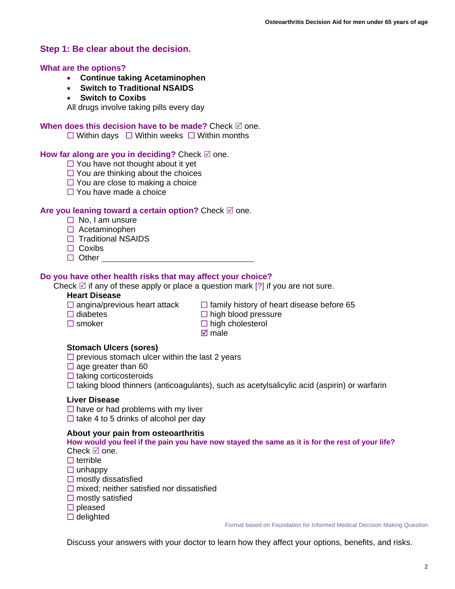### <span id="page-1-0"></span>**Step 1: Be clear about the decision.**

#### **What are the options?**

- **Continue taking Acetaminophen**
- **Switch to Traditional NSAIDS**
- **Switch to Coxibs**

All drugs involve taking pills every day

#### **When does this decision have to be made?** Check  $\boxtimes$  one.

 $\Box$  Within days  $\Box$  Within weeks  $\Box$  Within months

#### **How far along are you in deciding?** Check  $\mathbb{Z}$  one.

- $\Box$  You have not thought about it yet
- $\Box$  You are thinking about the choices
- $\Box$  You are close to making a choice
- $\Box$  You have made a choice

### **Are you leaning toward a certain option?** Check ⊠ one.

- $\Box$  No. I am unsure
- $\Box$  Acetaminophen
- $\Box$  Traditional NSAIDS
- $\Box$  Coxibs
- □ Other

### **Do you have other health risks that may affect your choice?**

Check  $\boxtimes$  if any of these apply or place a question mark [?] if you are not sure.

#### **Heart Disease**

- 
- $\Box$  angina/previous heart attack  $\Box$  family history of heart disease before 65  $\Box$  diabetes
	- $\Box$  high blood pressure
- $\square$  smoker  $\square$  high cholesterol
- - $\overline{M}$  male

### **Stomach Ulcers (sores)**

 $\square$  previous stomach ulcer within the last 2 years

- $\Box$  age greater than 60
- $\Box$  taking corticosteroids
- $\Box$  taking blood thinners (anticoagulants), such as acetylsalicylic acid (aspirin) or warfarin

#### **Liver Disease**

 $\Box$  have or had problems with my liver  $\Box$  take 4 to 5 drinks of alcohol per day

#### **About your pain from osteoarthritis**

#### **How would you feel if the pain you have now stayed the same as it is for the rest of your life?**  Check  $\boxtimes$  one.

- $\Box$  terrible
- $\Box$  unhappy
- $\square$  mostly dissatisfied
- $\Box$  mixed; neither satisfied nor dissatisfied
- $\square$  mostly satisfied
- $\square$  pleased
- $\Box$  delighted

Format based on Foundation for Informed Medical Decision Making Question

Discuss your answers with your doctor to learn how they affect your options, benefits, and risks.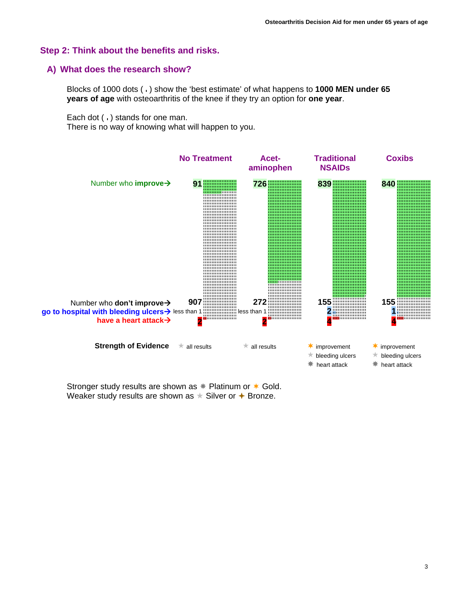### <span id="page-2-0"></span>**Step 2: Think about the benefits and risks.**

### **A) What does the research show?**

Blocks of 1000 dots ( ) show the 'best estimate' of what happens to **1000 MEN under 65 years of age** with osteoarthritis of the knee if they try an option for **one year**.

Each dot ( ) stands for one man.

There is no way of knowing what will happen to you.



Stronger study results are shown as  $*$  Platinum or  $*$  Gold. Weaker study results are shown as  $\star$  Silver or  $\star$  Bronze.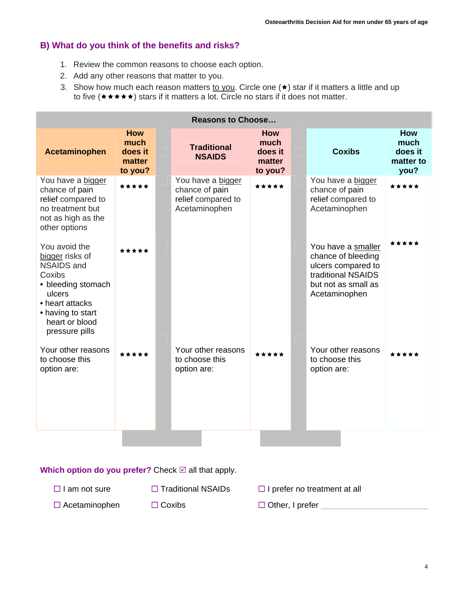# **B) What do you think of the benefits and risks?**

- 1. Review the common reasons to choose each option.
- 2. Add any other reasons that matter to you.
- 3. Show how much each reason matters to you. Circle one  $(\star)$  star if it matters a little and up to five  $(\star \star \star \star)$  stars if it matters a lot. Circle no stars if it does not matter.

| <b>Reasons to Choose</b>                                                                                                                                                    |                                                    |  |                                                                            |                                                    |  |                                                                                                                              |                                             |  |
|-----------------------------------------------------------------------------------------------------------------------------------------------------------------------------|----------------------------------------------------|--|----------------------------------------------------------------------------|----------------------------------------------------|--|------------------------------------------------------------------------------------------------------------------------------|---------------------------------------------|--|
| <b>Acetaminophen</b>                                                                                                                                                        | <b>How</b><br>much<br>does it<br>matter<br>to you? |  | <b>Traditional</b><br><b>NSAIDS</b>                                        | <b>How</b><br>much<br>does it<br>matter<br>to you? |  | <b>Coxibs</b>                                                                                                                | How<br>much<br>does it<br>matter to<br>you? |  |
| You have a bigger<br>chance of pain<br>relief compared to<br>no treatment but<br>not as high as the<br>other options                                                        | *****                                              |  | You have a bigger<br>chance of pain<br>relief compared to<br>Acetaminophen | *****                                              |  | You have a bigger<br>chance of pain<br>relief compared to<br>Acetaminophen                                                   | *****                                       |  |
| You avoid the<br>bigger risks of<br><b>NSAIDS and</b><br>Coxibs<br>• bleeding stomach<br>ulcers<br>• heart attacks<br>• having to start<br>heart or blood<br>pressure pills | *****                                              |  |                                                                            |                                                    |  | You have a smaller<br>chance of bleeding<br>ulcers compared to<br>traditional NSAIDS<br>but not as small as<br>Acetaminophen | *****                                       |  |
| Your other reasons<br>to choose this<br>option are:                                                                                                                         | *****                                              |  | Your other reasons<br>to choose this<br>option are:                        | *****                                              |  | Your other reasons<br>to choose this<br>option are:                                                                          | *****                                       |  |

**Which option do you prefer?** Check ⊠ all that apply.

- $\Box$  I am not sure  $\Box$  Traditional NSAIDs  $\Box$  I prefer no treatment at all
- □ Acetaminophen □ Coxibs □ Other, I prefer
-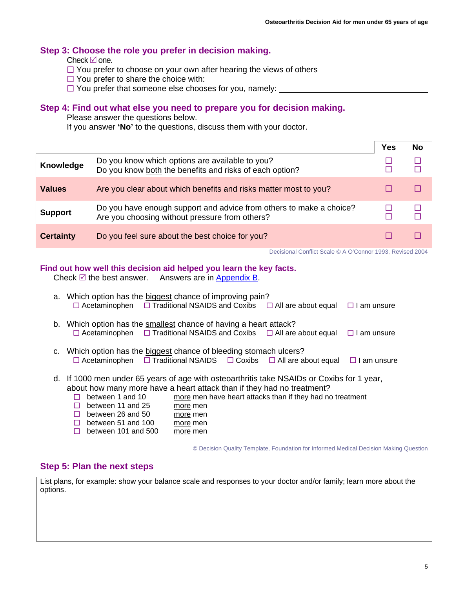### <span id="page-4-0"></span>**[Step 3](#page-0-0): Choose the role you prefer in decision making.**

Check  $\boxtimes$  one.

- $\Box$  You prefer to choose on your own after hearing the views of others
- $\Box$  You prefer to share the choice with:
- $\Box$  You prefer that someone else chooses for you, namely:

### **Step 4: Find out what else you need to prepare you for decision making.**

Please answer the questions below.

If you answer **'No'** to the questions, discuss them with your doctor.

|                  |                                                                                                                       | Yes | No |
|------------------|-----------------------------------------------------------------------------------------------------------------------|-----|----|
| Knowledge        | Do you know which options are available to you?<br>Do you know both the benefits and risks of each option?            |     |    |
| <b>Values</b>    | Are you clear about which benefits and risks matter most to you?                                                      |     |    |
| <b>Support</b>   | Do you have enough support and advice from others to make a choice?<br>Are you choosing without pressure from others? |     |    |
| <b>Certainty</b> | Do you feel sure about the best choice for you?                                                                       |     |    |

Decisional Conflict Scale © A O'Connor 1993, Revised 2004

### **Find out how well this decision aid helped you learn the key facts.**

Check  $\mathbb Z$  the best answer. Answers are in [Appendix B](#page-5-0).

| a. Which option has the biggest chance of improving pain?<br>$\Box$ Acetaminophen $\Box$ Traditional NSAIDS and Coxibs $\Box$ All are about equal                                                                                                                       |                                  |                                                           | $\Box$ I am unsure |
|-------------------------------------------------------------------------------------------------------------------------------------------------------------------------------------------------------------------------------------------------------------------------|----------------------------------|-----------------------------------------------------------|--------------------|
| b. Which option has the smallest chance of having a heart attack?<br>$\Box$ Acetaminophen $\Box$ Traditional NSAIDS and Coxibs $\Box$ All are about equal                                                                                                               |                                  |                                                           | $\Box$ I am unsure |
| c. Which option has the biggest chance of bleeding stomach ulcers?<br>$\Box$ Acetaminophen $\Box$ Traditional NSAIDS $\Box$ Coxibs $\Box$ All are about equal $\Box$ I am unsure                                                                                        |                                  |                                                           |                    |
| d. If 1000 men under 65 years of age with osteoarthritis take NSAIDs or Coxibs for 1 year,<br>about how many more have a heart attack than if they had no treatment?<br>between 1 and 10<br>between 11 and 25<br>H<br>between 26 and 50<br>$\Box$<br>between 51 and 100 | more men<br>more men<br>more men | more men have heart attacks than if they had no treatment |                    |

 $\Box$  between 101 and 500 more men

© Decision Quality Template, Foundation for Informed Medical Decision Making Question

### **Step 5: Plan the next steps**

List plans, for example: show your balance scale and responses to your doctor and/or family; learn more about the options.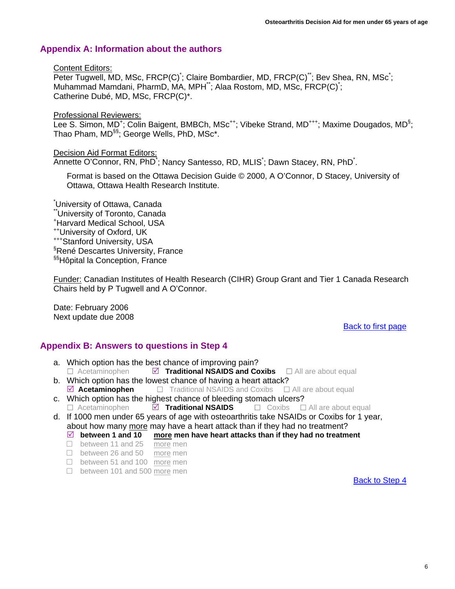# <span id="page-5-0"></span>**Appendix A: Information about the authors**

### Content Editors:

Peter Tugwell, MD, MSc, FRCP(C)<sup>\*</sup>; Claire Bombardier, MD, FRCP(C)<sup>\*\*</sup>; Bev Shea, RN, MSc<sup>\*</sup>; Muhammad Mamdani, PharmD, MA, MPH\*\*; Alaa Rostom, MD, MSc, FRCP(C)\* ; Catherine Dubé, MD, MSc, FRCP(C)\*.

Professional Reviewers:

Lee S. Simon, MD<sup>+</sup>; Colin Baigent, BMBCh, MSc<sup>++</sup>; Vibeke Strand, MD<sup>+++</sup>; Maxime Dougados, MD<sup>§</sup>; Thao Pham, MD<sup>§§</sup>; George Wells, PhD, MSc<sup>\*</sup>.

### Decision Aid Format Editors:

Annette O'Connor, RN, PhD<sup>\*</sup>; Nancy Santesso, RD, MLIS<sup>\*</sup>; Dawn Stacey, RN, PhD<sup>\*</sup>.

Format is based on the Ottawa Decision Guide © 2000, A O'Connor, D Stacey, University of Ottawa, Ottawa Health Research Institute.

\* University of Ottawa, Canada \*\*University of Toronto, Canada + Harvard Medical School, USA ++University of Oxford, UK +++Stanford University, USA § René Descartes University, France §§Hôpital la Conception, France

Funder: Canadian Institutes of Health Research (CIHR) Group Grant and Tier 1 Canada Research Chairs held by P Tugwell and A O'Connor.

Date: February 2006 Next update due 2008

### [Back to first page](#page-0-0)

# **Appendix B: Answers to questions in Step 4**

- a. Which option has the best chance of improving pain?  $\Box$  Acetaminophen  $\Box$  **Traditional NSAIDS and Coxibs**  $\Box$  All are about equal
- b. Which option has the lowest chance of having a heart attack?  $\Box$  **Acetaminophen**  $\Box$  **Traditional NSAIDS and Coxibs**  $\Box$  All are about equal
- c. Which option has the highest chance of bleeding stomach ulcers? Acetaminophen5 **Traditional NSAIDS** Coxibs All are about equal
- d. If 1000 men under 65 years of age with osteoarthritis take NSAIDs or Coxibs for 1 year, about how many more may have a heart attack than if they had no treatment?
	- $\boxtimes$  between 1 and 10 more men have heart attacks than if they had no treatment
	- □ between 11 and 25 more men
	- □ between 26 and 50 more men
	- □ between 51 and 100 more men
	- □ between 101 and 500 more men

[Back to Step 4](#page-4-0)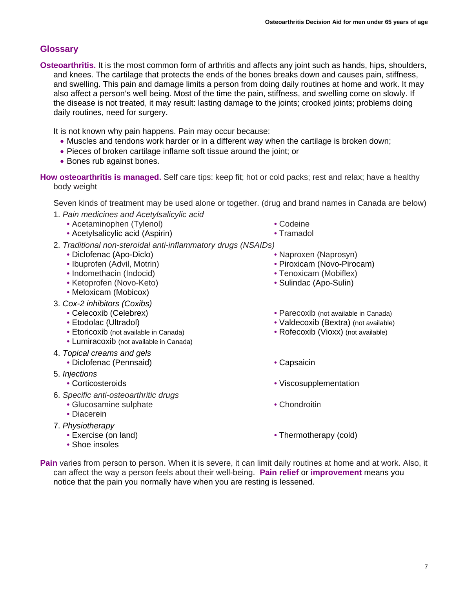# <span id="page-6-0"></span>**Glossary**

**Osteoarthritis.** It is the most common form of arthritis and affects any joint such as hands, hips, shoulders, and knees. The cartilage that protects the ends of the bones breaks down and causes pain, stiffness, and swelling. This pain and damage limits a person from doing daily routines at home and work. It may also affect a person's well being. Most of the time the pain, stiffness, and swelling come on slowly. If the disease is not treated, it may result: lasting damage to the joints; crooked joints; problems doing daily routines, need for surgery.

It is not known why pain happens. Pain may occur because:

- Muscles and tendons work harder or in a different way when the cartilage is broken down;
- Pieces of broken cartilage inflame soft tissue around the joint; or
- Bones rub against bones.

**How osteoarthritis is managed.** Self care tips: keep fit; hot or cold packs; rest and relax; have a healthy body weight

Seven kinds of treatment may be used alone or together. (drug and brand names in Canada are below)

- 1. *Pain medicines and Acetylsalicylic acid*
	- Acetaminophen (Tylenol)
	- Acetylsalicylic acid (Aspirin)
- 2. *Traditional non-steroidal anti-inflammatory drugs (NSAIDs)* 
	- Diclofenac (Apo-Diclo)
	- Ibuprofen (Advil, Motrin)
	- Indomethacin (Indocid)
	- Ketoprofen (Novo-Keto)
	- Meloxicam (Mobicox)
- 3. *Cox-2 inhibitors (Coxibs)*
	- Celecoxib (Celebrex)
	- Etodolac (Ultradol)
	- Etoricoxib (not available in Canada)
	- Lumiracoxib (not available in Canada)
- 4. *Topical creams and gels*
	- Diclofenac (Pennsaid) Capsaicin
- 5. *Injections*
	-
- 6. *Specific anti-osteoarthritic drugs*
	- Glucosamine sulphate
	- Diacerein
- 7. *Physiotherapy* 
	- Exercise (on land)
	- Shoe insoles
- Codeine
- Tramadol
- Naproxen (Naprosyn)
- 
- Piroxicam (Novo-Pirocam)
- Tenoxicam (Mobiflex)
- Sulindac (Apo-Sulin)
- Parecoxib (not available in Canada)
- Valdecoxib (Bextra) (not available)
- Rofecoxib (Vioxx) (not available)
- 
- Corticosteroids Viscosupplementation
	- Chondroitin
	- Thermotherapy (cold)
- **Pain** varies from person to person. When it is severe, it can limit daily routines at home and at work. Also, it can affect the way a person feels about their well-being. **Pain relief** or **improvement** means you notice that the pain you normally have when you are resting is lessened.